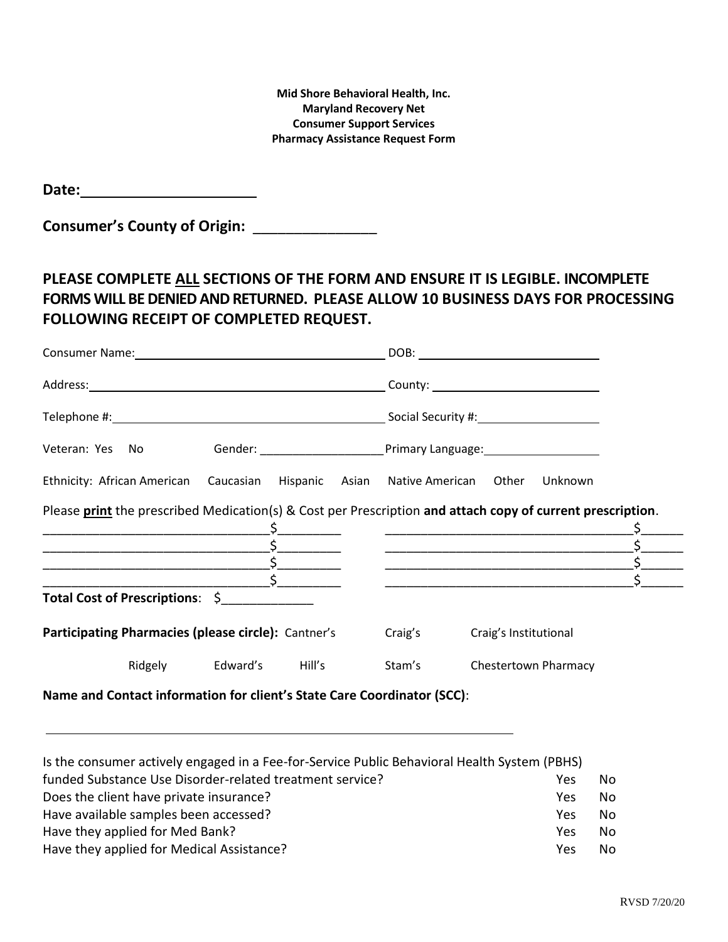**Mid Shore Behavioral Health, Inc. Maryland Recovery Net Consumer Support Services Pharmacy Assistance Request Form**

**Date:**

**Consumer's County of Origin:** \_\_\_\_\_\_\_\_\_\_\_\_\_\_\_

# **PLEASE COMPLETE ALL SECTIONS OF THE FORM AND ENSURE IT IS LEGIBLE. INCOMPLETE FORMS WILL BE DENIED AND RETURNED. PLEASE ALLOW 10 BUSINESS DAYS FOR PROCESSING FOLLOWING RECEIPT OF COMPLETED REQUEST.**

| Veteran: Yes No                                                                                            | Gender: <u>Communications of Primary Language:</u>                                                                    |  |  |  |  |
|------------------------------------------------------------------------------------------------------------|-----------------------------------------------------------------------------------------------------------------------|--|--|--|--|
| Ethnicity: African American Caucasian Hispanic Asian Native American Other Unknown                         |                                                                                                                       |  |  |  |  |
| Please print the prescribed Medication(s) & Cost per Prescription and attach copy of current prescription. | <u> 1989 - Johann Barn, mars ann an t-Amhainn an t-Amhainn an t-Amhainn an t-Amhainn an t-Amhainn an t-Amhainn an</u> |  |  |  |  |
|                                                                                                            | <u> 1989 - Johann Barbara, martin amerikan basar dan berasal dalam basa dan berasal dalam basar dalam basa dalam</u>  |  |  |  |  |
|                                                                                                            | <u> 1989 - Johann Barbara, margaret e poeta esperanto-poeta esperanto-poeta esperanto-poeta esperanto-poeta esper</u> |  |  |  |  |
| Total Cost of Prescriptions: \$                                                                            |                                                                                                                       |  |  |  |  |
| Participating Pharmacies (please circle): Cantner's                                                        | Craig's<br>Craig's Institutional                                                                                      |  |  |  |  |
| Ridgely Edward's Hill's                                                                                    | Stam's<br><b>Chestertown Pharmacy</b>                                                                                 |  |  |  |  |
| Name and Contact information for client's State Care Coordinator (SCC):                                    |                                                                                                                       |  |  |  |  |

| Is the consumer actively engaged in a Fee-for-Service Public Behavioral Health System (PBHS) |     |    |
|----------------------------------------------------------------------------------------------|-----|----|
| funded Substance Use Disorder-related treatment service?                                     | Yes | N٥ |
| Does the client have private insurance?                                                      | Yes | Nο |
| Have available samples been accessed?                                                        | Yes | No |
| Have they applied for Med Bank?                                                              | Yes | No |
| Have they applied for Medical Assistance?                                                    | Yes | Nο |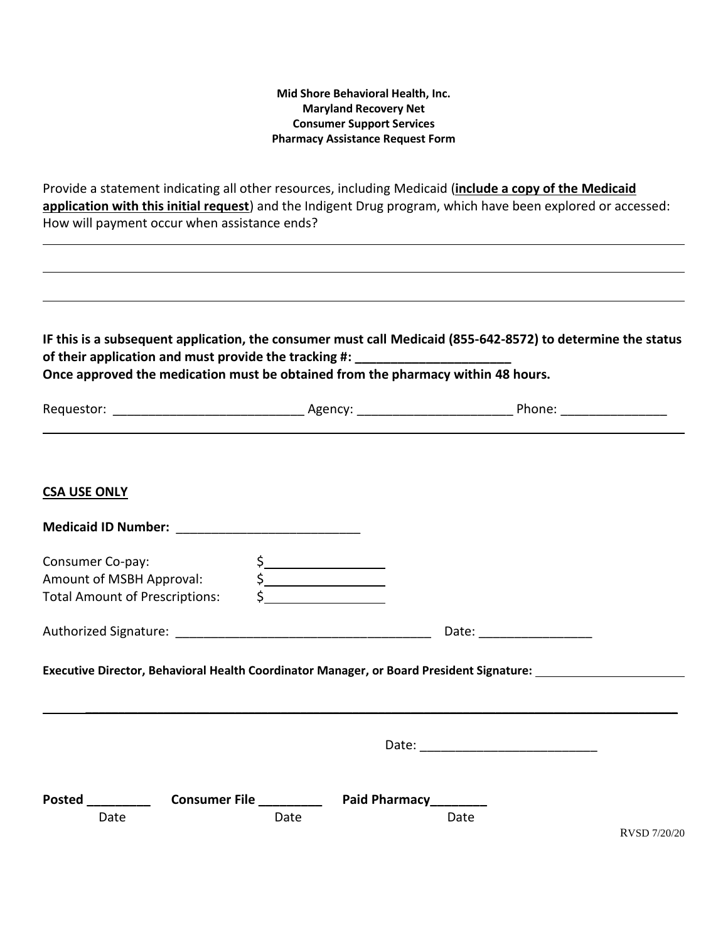#### **Mid Shore Behavioral Health, Inc. Maryland Recovery Net Consumer Support Services Pharmacy Assistance Request Form**

Provide a statement indicating all other resources, including Medicaid (**include a copy of the Medicaid application with this initial request**) and the Indigent Drug program, which have been explored or accessed: How will payment occur when assistance ends?

**IF this is a subsequent application, the consumer must call Medicaid (855-642-8572) to determine the status**  of their application and must provide the tracking #: \_ **Once approved the medication must be obtained from the pharmacy within 48 hours.** 

| Requestor: | Agency <sup>.</sup> | Phone: |  |
|------------|---------------------|--------|--|
|------------|---------------------|--------|--|

## **CSA USE ONLY**

| Consumer Co-pay:<br>Amount of MSBH Approval: | $\frac{1}{2}$<br>$\begin{picture}(20,20) \put(0,0){\line(1,0){10}} \put(15,0){\line(1,0){10}} \put(15,0){\line(1,0){10}} \put(15,0){\line(1,0){10}} \put(15,0){\line(1,0){10}} \put(15,0){\line(1,0){10}} \put(15,0){\line(1,0){10}} \put(15,0){\line(1,0){10}} \put(15,0){\line(1,0){10}} \put(15,0){\line(1,0){10}} \put(15,0){\line(1,0){10}} \put(15,0){\line(1$ |                          |              |
|----------------------------------------------|----------------------------------------------------------------------------------------------------------------------------------------------------------------------------------------------------------------------------------------------------------------------------------------------------------------------------------------------------------------------|--------------------------|--------------|
| <b>Total Amount of Prescriptions:</b>        | $\frac{1}{\sqrt{2}}$                                                                                                                                                                                                                                                                                                                                                 |                          |              |
|                                              |                                                                                                                                                                                                                                                                                                                                                                      | Date: __________________ |              |
|                                              |                                                                                                                                                                                                                                                                                                                                                                      |                          |              |
|                                              |                                                                                                                                                                                                                                                                                                                                                                      |                          |              |
| Date                                         | Date                                                                                                                                                                                                                                                                                                                                                                 | Date                     | RVSD 7/20/20 |